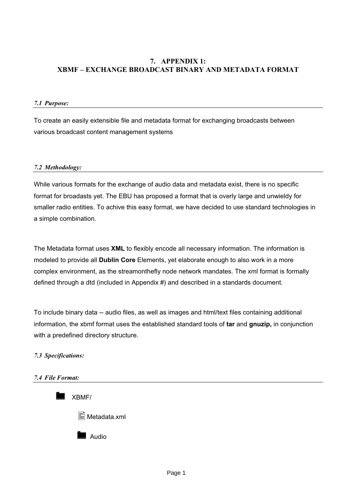# **7. APPENDIX 1: XBMF – EXCHANGE BROADCAST BINARY AND METADATA FORMAT**

#### *7.1 Purpose:*

To create an easily extensible file and metadata format for exchanging broadcasts between various broadcast content management systems

#### *7.2 Methodology:*

While various formats for the exchange of audio data and metadata exist, there is no specific format for broadasts yet. The EBU has proposed a format that is overly large and unwieldy for smaller radio entities. To achive this easy format, we have decided to use standard technologies in a simple combination.

The Metadata format uses **XML** to flexibly encode all necessary information. The information is modeled to provide all **Dublin Core** Elements, yet elaborate enough to also work in a more complex environment, as the streamonthefly node network mandates. The xml format is formally defined through a dtd (included in Appendix #) and described in a standards document.

To include binary data -- audio files, as well as images and html/text files containing additional information, the xbmf format uses the established standard tools of **tar** and **gnuzip,** in conjunction with a predefined directory structure.

#### *7.3 Specifications:*

#### *7.4 File Format:*

XBMF/



Audio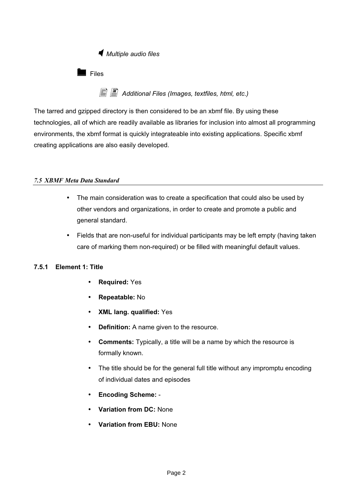*Multiple audio files*

 $\blacksquare$  Files

- *Additional Files (Images, textfiles, html, etc.)*

The tarred and gzipped directory is then considered to be an xbmf file. By using these technologies, all of which are readily available as libraries for inclusion into almost all programming environments, the xbmf format is quickly integrateable into existing applications. Specific xbmf creating applications are also easily developed.

## *7.5 XBMF Meta Data Standard*

- The main consideration was to create a specification that could also be used by other vendors and organizations, in order to create and promote a public and general standard.
- Fields that are non-useful for individual participants may be left empty (having taken care of marking them non-required) or be filled with meaningful default values.

# **7.5.1 Element 1: Title**

- **Required:** Yes
- **Repeatable:** No
- **XML lang. qualified:** Yes
- **Definition:** A name given to the resource.
- **Comments:** Typically, a title will be a name by which the resource is formally known.
- The title should be for the general full title without any impromptu encoding of individual dates and episodes
- **Encoding Scheme:** -
- **Variation from DC:** None
- **Variation from EBU:** None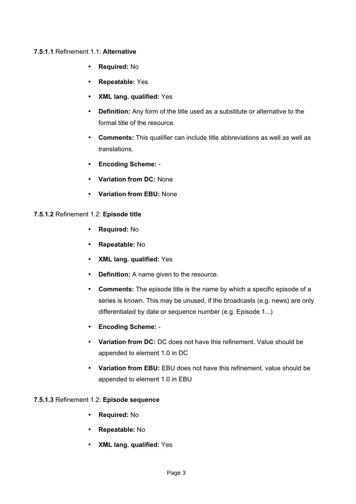## **7.5.1.1** Refinement 1.1: **Alternative**

- **Required:** No
- **Repeatable:** Yes
- **XML lang. qualified:** Yes
- **Definition:** Any form of the title used as a substitute or alternative to the formal title of the resource.
- **Comments:** This qualifier can include title abbreviations as well as well as translations.
- **Encoding Scheme:** -
- **Variation from DC:** None
- **Variation from EBU:** None

## **7.5.1.2** Refinement 1.2: **Episode title**

- **Required:** No
- **Repeatable:** No
- **XML lang. qualified:** Yes
- **Definition:** A name given to the resource.
- **Comments:** The episode title is the name by which a specific episode of a series is known. This may be unused, if the broadcasts (e.g. news) are only differentiated by date or sequence number (e.g. Episode 1...)
- **Encoding Scheme:** -
- **Variation from DC:** DC does not have this refinement. Value should be appended to element 1.0 in DC
- **Variation from EBU:** EBU does not have this refinement. value should be appended to element 1.0 in EBU

# **7.5.1.3** Refinement 1.2: **Episode sequence**

- **Required:** No
- **Repeatable:** No
- **XML lang. qualified:** Yes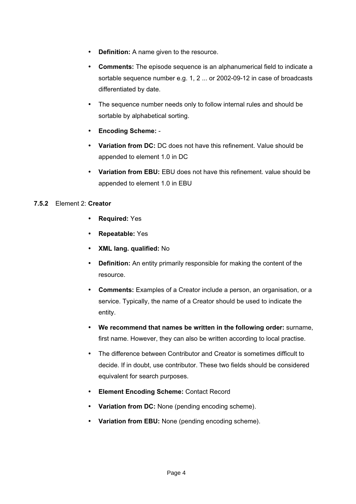- **Definition:** A name given to the resource.
- **Comments:** The episode sequence is an alphanumerical field to indicate a sortable sequence number e.g. 1, 2 ... or 2002-09-12 in case of broadcasts differentiated by date.
- The sequence number needs only to follow internal rules and should be sortable by alphabetical sorting.
- **Encoding Scheme:** -
- **Variation from DC:** DC does not have this refinement. Value should be appended to element 1.0 in DC
- **Variation from EBU:** EBU does not have this refinement. value should be appended to element 1.0 in EBU

## **7.5.2** Element 2: **Creator**

- **Required:** Yes
- **Repeatable:** Yes
- **XML lang. qualified:** No
- **Definition:** An entity primarily responsible for making the content of the resource.
- **Comments:** Examples of a Creator include a person, an organisation, or a service. Typically, the name of a Creator should be used to indicate the entity.
- **We recommend that names be written in the following order:** surname, first name. However, they can also be written according to local practise.
- The difference between Contributor and Creator is sometimes difficult to decide. If in doubt, use contributor. These two fields should be considered equivalent for search purposes.
- **Element Encoding Scheme:** Contact Record
- **Variation from DC:** None (pending encoding scheme).
- **Variation from EBU:** None (pending encoding scheme).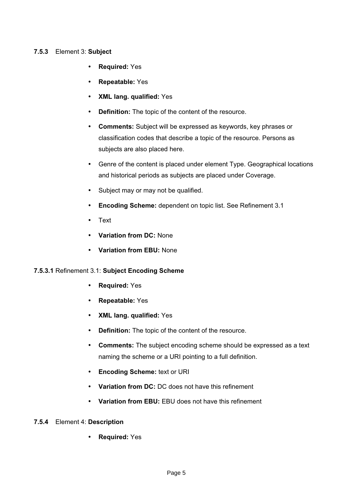## **7.5.3** Element 3: **Subject**

- **Required:** Yes
- **Repeatable:** Yes
- **XML lang. qualified:** Yes
- **Definition:** The topic of the content of the resource.
- **Comments:** Subject will be expressed as keywords, key phrases or classification codes that describe a topic of the resource. Persons as subjects are also placed here.
- Genre of the content is placed under element Type. Geographical locations and historical periods as subjects are placed under Coverage.
- Subject may or may not be qualified.
- **Encoding Scheme:** dependent on topic list. See Refinement 3.1
- Text
- **Variation from DC:** None
- **Variation from EBU:** None

# **7.5.3.1** Refinement 3.1: **Subject Encoding Scheme**

- **Required:** Yes
- **Repeatable:** Yes
- **XML lang. qualified:** Yes
- **Definition:** The topic of the content of the resource.
- **Comments:** The subject encoding scheme should be expressed as a text naming the scheme or a URI pointing to a full definition.
- **Encoding Scheme:** text or URI
- **Variation from DC:** DC does not have this refinement
- **Variation from EBU:** EBU does not have this refinement

# **7.5.4** Element 4: **Description**

• **Required:** Yes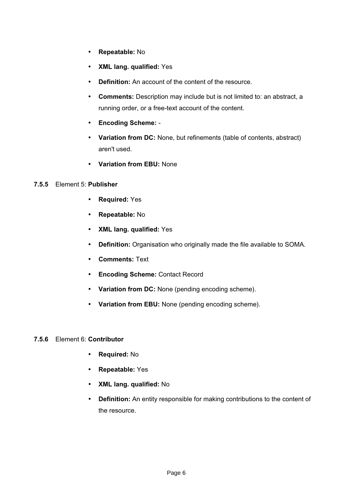- **Repeatable:** No
- **XML lang. qualified:** Yes
- **Definition:** An account of the content of the resource.
- **Comments:** Description may include but is not limited to: an abstract, a running order, or a free-text account of the content.
- **Encoding Scheme:** -
- **Variation from DC:** None, but refinements (table of contents, abstract) aren't used.
- **Variation from EBU:** None

#### **7.5.5** Element 5: **Publisher**

- **Required:** Yes
- **Repeatable:** No
- **XML lang. qualified:** Yes
- **Definition:** Organisation who originally made the file available to SOMA.
- **Comments:** Text
- **Encoding Scheme:** Contact Record
- **Variation from DC:** None (pending encoding scheme).
- **Variation from EBU:** None (pending encoding scheme).

## **7.5.6** Element 6: **Contributor**

- **Required:** No
- **Repeatable:** Yes
- **XML lang. qualified:** No
- **Definition:** An entity responsible for making contributions to the content of the resource.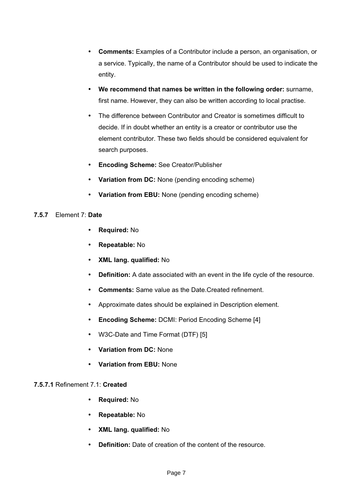- **Comments:** Examples of a Contributor include a person, an organisation, or a service. Typically, the name of a Contributor should be used to indicate the entity.
- **We recommend that names be written in the following order:** surname, first name. However, they can also be written according to local practise.
- The difference between Contributor and Creator is sometimes difficult to decide. If in doubt whether an entity is a creator or contributor use the element contributor. These two fields should be considered equivalent for search purposes.
- **Encoding Scheme:** See Creator/Publisher
- **Variation from DC:** None (pending encoding scheme)
- **Variation from EBU:** None (pending encoding scheme)

## **7.5.7** Element 7: **Date**

- **Required:** No
- **Repeatable:** No
- **XML lang. qualified:** No
- **Definition:** A date associated with an event in the life cycle of the resource.
- **Comments:** Same value as the Date.Created refinement.
- Approximate dates should be explained in Description element.
- **Encoding Scheme:** DCMI: Period Encoding Scheme [4]
- W3C-Date and Time Format (DTF) [5]
- **Variation from DC:** None
- **Variation from EBU:** None

## **7.5.7.1** Refinement 7.1: **Created**

- **Required:** No
- **Repeatable:** No
- **XML lang. qualified:** No
- **Definition:** Date of creation of the content of the resource.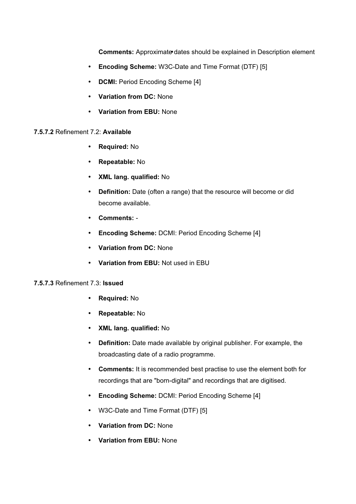**Comments:** Approximate dates should be explained in Description element

- **Encoding Scheme:** W3C-Date and Time Format (DTF) [5]
- **DCMI:** Period Encoding Scheme [4]
- **Variation from DC:** None
- **Variation from EBU:** None

## **7.5.7.2** Refinement 7.2: **Available**

- **Required:** No
- **Repeatable:** No
- **XML lang. qualified:** No
- **Definition:** Date (often a range) that the resource will become or did become available.
- **Comments:** -
- **Encoding Scheme:** DCMI: Period Encoding Scheme [4]
- **Variation from DC:** None
- **Variation from EBU:** Not used in EBU

## **7.5.7.3** Refinement 7.3: **Issued**

- **Required:** No
- **Repeatable:** No
- **XML lang. qualified:** No
- **Definition:** Date made available by original publisher. For example, the broadcasting date of a radio programme.
- **Comments:** It is recommended best practise to use the element both for recordings that are "born-digital" and recordings that are digitised.
- **Encoding Scheme:** DCMI: Period Encoding Scheme [4]
- W3C-Date and Time Format (DTF) [5]
- **Variation from DC:** None
- **Variation from EBU:** None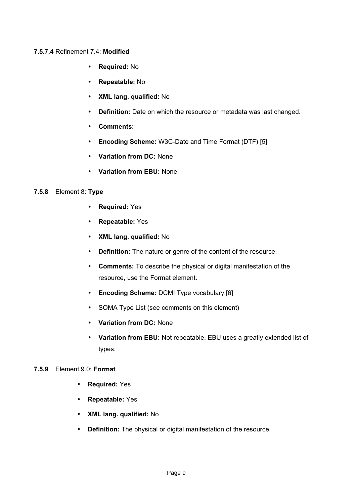## **7.5.7.4** Refinement 7.4: **Modified**

- **Required:** No
- **Repeatable:** No
- **XML lang. qualified:** No
- **Definition:** Date on which the resource or metadata was last changed.
- **Comments:** -
- **Encoding Scheme:** W3C-Date and Time Format (DTF) [5]
- **Variation from DC:** None
- **Variation from EBU:** None

#### **7.5.8** Element 8: **Type**

- **Required:** Yes
- **Repeatable:** Yes
- **XML lang. qualified:** No
- **Definition:** The nature or genre of the content of the resource.
- **Comments:** To describe the physical or digital manifestation of the resource, use the Format element.
- **Encoding Scheme:** DCMI Type vocabulary [6]
- SOMA Type List (see comments on this element)
- **Variation from DC:** None
- **Variation from EBU:** Not repeatable. EBU uses a greatly extended list of types.

## **7.5.9** Element 9.0: **Format**

- **Required:** Yes
- **Repeatable:** Yes
- **XML lang. qualified:** No
- **Definition:** The physical or digital manifestation of the resource.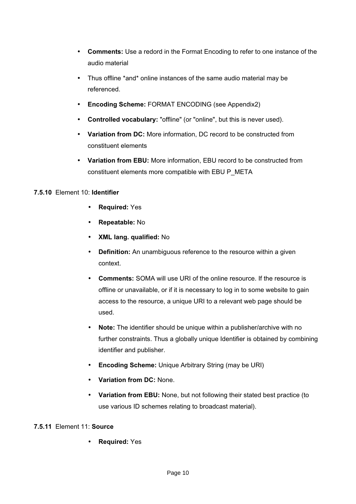- **Comments:** Use a redord in the Format Encoding to refer to one instance of the audio material
- Thus offline \*and\* online instances of the same audio material may be referenced.
- **Encoding Scheme:** FORMAT ENCODING (see Appendix2)
- **Controlled vocabulary:** "offline" (or "online", but this is never used).
- **Variation from DC:** More information, DC record to be constructed from constituent elements
- **Variation from EBU:** More information, EBU record to be constructed from constituent elements more compatible with EBU P\_META

## **7.5.10** Element 10: **Identifier**

- **Required:** Yes
- **Repeatable:** No
- **XML lang. qualified:** No
- **Definition:** An unambiguous reference to the resource within a given context.
- **Comments:** SOMA will use URI of the online resource. If the resource is offline or unavailable, or if it is necessary to log in to some website to gain access to the resource, a unique URI to a relevant web page should be used.
- **Note:** The identifier should be unique within a publisher/archive with no further constraints. Thus a globally unique Identifier is obtained by combining identifier and publisher.
- **Encoding Scheme:** Unique Arbitrary String (may be URI)
- **Variation from DC:** None.
- **Variation from EBU:** None, but not following their stated best practice (to use various ID schemes relating to broadcast material).

# **7.5.11** Element 11: **Source**

• **Required:** Yes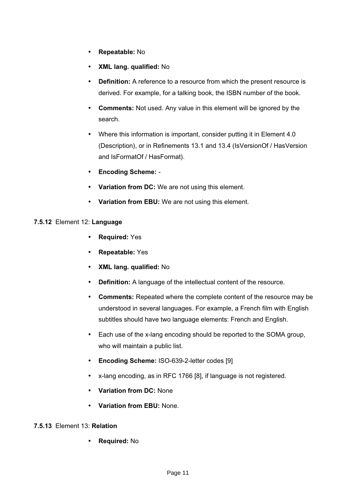- **Repeatable:** No
- **XML lang. qualified:** No
- **Definition:** A reference to a resource from which the present resource is derived. For example, for a talking book, the ISBN number of the book.
- **Comments:** Not used. Any value in this element will be ignored by the search.
- Where this information is important, consider putting it in Element 4.0 (Description), or in Refinements 13.1 and 13.4 (IsVersionOf / HasVersion and IsFormatOf / HasFormat).
- **Encoding Scheme:** -
- **Variation from DC:** We are not using this element.
- **Variation from EBU:** We are not using this element.

#### **7.5.12** Element 12: **Language**

- **Required:** Yes
- **Repeatable:** Yes
- **XML lang. qualified:** No
- **Definition:** A language of the intellectual content of the resource.
- **Comments:** Repeated where the complete content of the resource may be understood in several languages. For example, a French film with English subtitles should have two language elements: French and English.
- Each use of the x-lang encoding should be reported to the SOMA group, who will maintain a public list.
- **Encoding Scheme:** ISO-639-2-letter codes [9]
- x-lang encoding, as in RFC 1766 [8], if language is not registered.
- **Variation from DC:** None
- **Variation from EBU:** None.

## **7.5.13** Element 13: **Relation**

• **Required:** No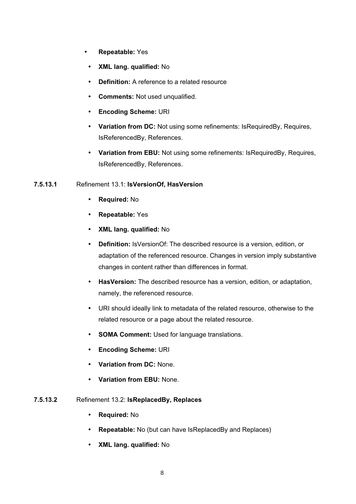- **Repeatable:** Yes
	- **XML lang. qualified:** No
	- **Definition:** A reference to a related resource
	- **Comments:** Not used unqualified.
	- **Encoding Scheme:** URI
	- **Variation from DC:** Not using some refinements: IsRequiredBy, Requires, IsReferencedBy, References.
	- **Variation from EBU:** Not using some refinements: IsRequiredBy, Requires, IsReferencedBy, References.

# **7.5.13.1** Refinement 13.1: **IsVersionOf, HasVersion**

- **Required:** No
- **Repeatable:** Yes
- **XML lang. qualified:** No
- **Definition:** IsVersionOf: The described resource is a version, edition, or adaptation of the referenced resource. Changes in version imply substantive changes in content rather than differences in format.
- **HasVersion:** The described resource has a version, edition, or adaptation, namely, the referenced resource.
- URI should ideally link to metadata of the related resource, otherwise to the related resource or a page about the related resource.
- **SOMA Comment:** Used for language translations.
- **Encoding Scheme:** URI
- **Variation from DC:** None.
- **Variation from EBU:** None.

# **7.5.13.2** Refinement 13.2: **IsReplacedBy, Replaces**

- **Required:** No
- **Repeatable:** No (but can have IsReplacedBy and Replaces)
- **XML lang. qualified:** No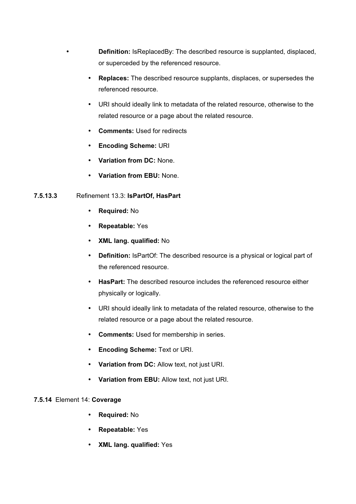- **Definition:** IsReplacedBy: The described resource is supplanted, displaced, or superceded by the referenced resource.
- **Replaces:** The described resource supplants, displaces, or supersedes the referenced resource.
- URI should ideally link to metadata of the related resource, otherwise to the related resource or a page about the related resource.
- **Comments:** Used for redirects
- **Encoding Scheme:** URI
- **Variation from DC:** None.
- **Variation from EBU:** None.

## **7.5.13.3** Refinement 13.3: **IsPartOf, HasPart**

- **Required:** No
- **Repeatable:** Yes
- **XML lang. qualified:** No
- **Definition:** IsPartOf: The described resource is a physical or logical part of the referenced resource.
- **HasPart:** The described resource includes the referenced resource either physically or logically.
- URI should ideally link to metadata of the related resource, otherwise to the related resource or a page about the related resource.
- **Comments:** Used for membership in series.
- **Encoding Scheme:** Text or URI.
- **Variation from DC:** Allow text, not just URI.
- **Variation from EBU:** Allow text, not just URI.

## **7.5.14** Element 14: **Coverage**

- **Required:** No
- **Repeatable:** Yes
- **XML lang. qualified:** Yes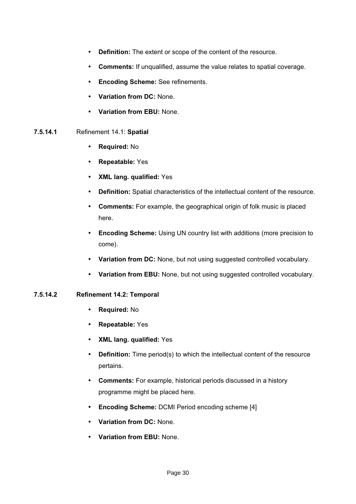- **Definition:** The extent or scope of the content of the resource.
- **Comments:** If unqualified, assume the value relates to spatial coverage.
- **Encoding Scheme:** See refinements.
- **Variation from DC:** None.
- **Variation from EBU:** None.
- **7.5.14.1** Refinement 14.1: **Spatial**
	- **Required:** No
	- **Repeatable:** Yes
	- **XML lang. qualified:** Yes
	- **Definition:** Spatial characteristics of the intellectual content of the resource.
	- **Comments:** For example, the geographical origin of folk music is placed here.
	- **Encoding Scheme:** Using UN country list with additions (more precision to come).
	- **Variation from DC:** None, but not using suggested controlled vocabulary.
	- **Variation from EBU:** None, but not using suggested controlled vocabulary.

## **7.5.14.2 Refinement 14.2: Temporal**

- **Required:** No
- **Repeatable:** Yes
- **XML lang. qualified:** Yes
- **Definition:** Time period(s) to which the intellectual content of the resource pertains.
- **Comments:** For example, historical periods discussed in a history programme might be placed here.
- **Encoding Scheme:** DCMI Period encoding scheme [4]
- **Variation from DC:** None.
- **Variation from EBU:** None.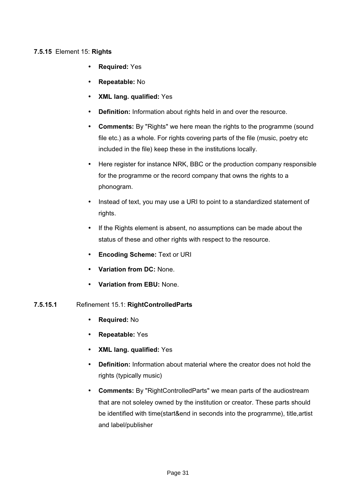## **7.5.15** Element 15: **Rights**

- **Required:** Yes
- **Repeatable:** No
- **XML lang. qualified:** Yes
- **Definition:** Information about rights held in and over the resource.
- **Comments:** By "Rights" we here mean the rights to the programme (sound file etc.) as a whole. For rights covering parts of the file (music, poetry etc included in the file) keep these in the institutions locally.
- Here register for instance NRK, BBC or the production company responsible for the programme or the record company that owns the rights to a phonogram.
- Instead of text, you may use a URI to point to a standardized statement of rights.
- If the Rights element is absent, no assumptions can be made about the status of these and other rights with respect to the resource.
- **Encoding Scheme:** Text or URI
- **Variation from DC:** None.
- **Variation from EBU:** None.

## **7.5.15.1** Refinement 15.1: **RightControlledParts**

- **Required:** No
- **Repeatable:** Yes
- **XML lang. qualified:** Yes
- **Definition:** Information about material where the creator does not hold the rights (typically music)
- **Comments:** By "RightControlledParts" we mean parts of the audiostream that are not soleley owned by the institution or creator. These parts should be identified with time(start&end in seconds into the programme), title,artist and label/publisher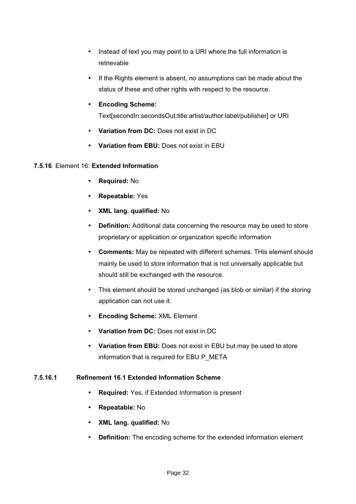- Instead of text you may point to a URI where the full information is retrievable
- If the Rights element is absent, no assumptions can be made about the status of these and other rights with respect to the resource.
- **Encoding Scheme:**

Text[secondIn:secondsOut:title:artist/author:label/publisher] or URI

- **Variation from DC:** Does not exist in DC
- **Variation from EBU:** Does not exist in EBU

## **7.5.16** Element 16: **Extended Information**

- **Required:** No
- **Repeatable:** Yes
- **XML lang. qualified:** No
- **Definition:** Additional data concerning the resource may be used to store proprietary or application or organization specific information
- **Comments:** May be repeated with different schemes. THis element should mainly be used to store information that is not universally applicable but should still be exchanged with the resource.
- This element should be stored unchanged (as blob or similar) if the storing application can not use it.
- **Encoding Scheme:** XML Element
- **Variation from DC:** Does not exist in DC
- **Variation from EBU:** Does not exist in EBU but may be used to store information that is required for EBU P\_META

## **7.5.16.1 Refinement 16.1 Extended Information Scheme**

- **Required:** Yes, if Extended Information is present
- **Repeatable:** No
- **XML lang. qualified:** No
- **Definition:** The encoding scheme for the extended information element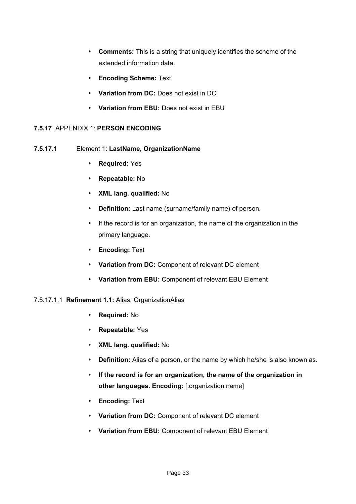- **Comments:** This is a string that uniquely identifies the scheme of the extended information data.
- **Encoding Scheme:** Text
- **Variation from DC:** Does not exist in DC
- **Variation from EBU:** Does not exist in EBU

## **7.5.17** APPENDIX 1: **PERSON ENCODING**

- **7.5.17.1** Element 1: **LastName, OrganizationName**
	- **Required:** Yes
	- **Repeatable:** No
	- **XML lang. qualified:** No
	- **Definition:** Last name (surname/family name) of person.
	- If the record is for an organization, the name of the organization in the primary language.
	- **Encoding:** Text
	- **Variation from DC:** Component of relevant DC element
	- **Variation from EBU:** Component of relevant EBU Element

## 7.5.17.1.1 **Refinement 1.1:** Alias, OrganizationAlias

- **Required:** No
- **Repeatable:** Yes
- **XML lang. qualified:** No
- **Definition:** Alias of a person, or the name by which he/she is also known as.
- **If the record is for an organization, the name of the organization in other languages. Encoding:** [:organization name]
- **Encoding:** Text
- **Variation from DC:** Component of relevant DC element
- **Variation from EBU:** Component of relevant EBU Element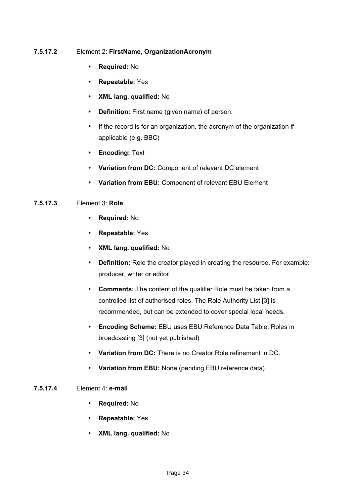## **7.5.17.2** Element 2: **FirstName, OrganizationAcronym**

- **Required:** No
- **Repeatable:** Yes
- **XML lang. qualified:** No
- **Definition:** First name (given name) of person.
- If the record is for an organization, the acronym of the organization if applicable (e.g. BBC)
- **Encoding:** Text
- **Variation from DC:** Component of relevant DC element
- **Variation from EBU:** Component of relevant EBU Element

## **7.5.17.3** Element 3: **Role**

- **Required:** No
- **Repeatable:** Yes
- **XML lang. qualified:** No
- **Definition:** Role the creator played in creating the resource. For example: producer, writer or editor.
- **Comments:** The content of the qualifier Role must be taken from a controlled list of authorised roles. The Role Authority List [3] is recommended, but can be extended to cover special local needs.
- **Encoding Scheme:** EBU uses EBU Reference Data Table: Roles in broadcasting [3] (not yet published)
- **Variation from DC:** There is no Creator.Role refinement in DC.
- **Variation from EBU:** None (pending EBU reference data).

## **7.5.17.4** Element 4: **e-mail**

- **Required:** No
- **Repeatable:** Yes
- **XML lang. qualified:** No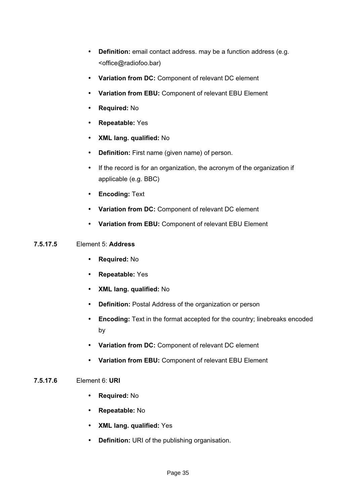- **Definition:** email contact address. may be a function address (e.g. <office@radiofoo.bar)
- **Variation from DC:** Component of relevant DC element
- **Variation from EBU:** Component of relevant EBU Element
- **Required:** No
- **Repeatable:** Yes
- **XML lang. qualified:** No
- **Definition:** First name (given name) of person.
- If the record is for an organization, the acronym of the organization if applicable (e.g. BBC)
- **Encoding:** Text
- **Variation from DC:** Component of relevant DC element
- **Variation from EBU:** Component of relevant EBU Element

## **7.5.17.5** Element 5: **Address**

- **Required:** No
- **Repeatable:** Yes
- **XML lang. qualified:** No
- **Definition:** Postal Address of the organization or person
- **Encoding:** Text in the format accepted for the country; linebreaks encoded by
- **Variation from DC:** Component of relevant DC element
- **Variation from EBU:** Component of relevant EBU Element

## **7.5.17.6** Element 6: **URI**

- **Required:** No
- **Repeatable:** No
- **XML lang. qualified:** Yes
- **Definition:** URI of the publishing organisation.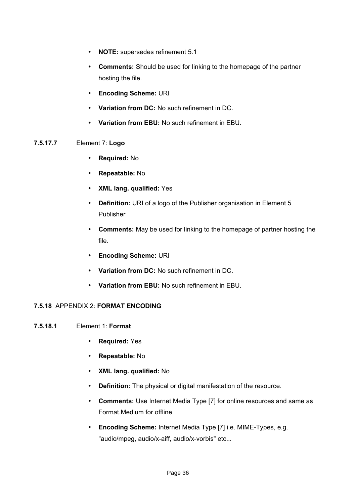- **NOTE:** supersedes refinement 5.1
- **Comments:** Should be used for linking to the homepage of the partner hosting the file.
- **Encoding Scheme:** URI
- **Variation from DC:** No such refinement in DC.
- **Variation from EBU:** No such refinement in EBU.

#### **7.5.17.7** Element 7: **Logo**

- **Required:** No
- **Repeatable:** No
- **XML lang. qualified:** Yes
- **Definition:** URI of a logo of the Publisher organisation in Element 5 Publisher
- **Comments:** May be used for linking to the homepage of partner hosting the file.
- **Encoding Scheme:** URI
- **Variation from DC:** No such refinement in DC.
- **Variation from EBU:** No such refinement in EBU.

## **7.5.18** APPENDIX 2: **FORMAT ENCODING**

## **7.5.18.1** Element 1: **Format**

- **Required:** Yes
- **Repeatable:** No
- **XML lang. qualified:** No
- **Definition:** The physical or digital manifestation of the resource.
- **Comments:** Use Internet Media Type [7] for online resources and same as Format.Medium for offline
- **Encoding Scheme:** Internet Media Type [7] i.e. MIME-Types, e.g. "audio/mpeg, audio/x-aiff, audio/x-vorbis" etc...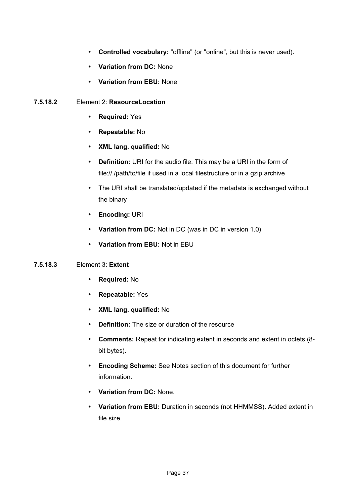- **Controlled vocabulary:** "offline" (or "online", but this is never used).
- **Variation from DC:** None
- **Variation from EBU:** None

## **7.5.18.2** Element 2: **ResourceLocation**

- **Required:** Yes
- **Repeatable:** No
- **XML lang. qualified:** No
- **Definition:** URI for the audio file. This may be a URI in the form of file://./path/to/file if used in a local filestructure or in a gzip archive
- The URI shall be translated/updated if the metadata is exchanged without the binary
- **Encoding:** URI
- **Variation from DC:** Not in DC (was in DC in version 1.0)
- **Variation from EBU:** Not in EBU

## **7.5.18.3** Element 3: **Extent**

- **Required:** No
- **Repeatable:** Yes
- **XML lang. qualified:** No
- **Definition:** The size or duration of the resource
- **Comments:** Repeat for indicating extent in seconds and extent in octets (8 bit bytes).
- **Encoding Scheme:** See Notes section of this document for further information.
- **Variation from DC:** None.
- **Variation from EBU:** Duration in seconds (not HHMMSS). Added extent in file size.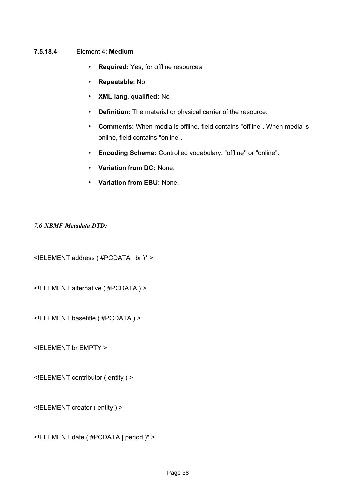#### **7.5.18.4** Element 4: **Medium**

- **Required:** Yes, for offline resources
- **Repeatable:** No
- **XML lang. qualified:** No
- **Definition:** The material or physical carrier of the resource.
- **Comments:** When media is offline, field contains "offline". When media is online, field contains "online".
- **Encoding Scheme:** Controlled vocabulary: "offline" or "online".
- **Variation from DC:** None.
- **Variation from EBU:** None.

#### *7.6 XBMF Metadata DTD:*

<!ELEMENT address ( #PCDATA | br )\* >

<!ELEMENT alternative ( #PCDATA ) >

<!ELEMENT basetitle ( #PCDATA ) >

<!ELEMENT br EMPTY >

<!ELEMENT contributor ( entity ) >

<!ELEMENT creator ( entity ) >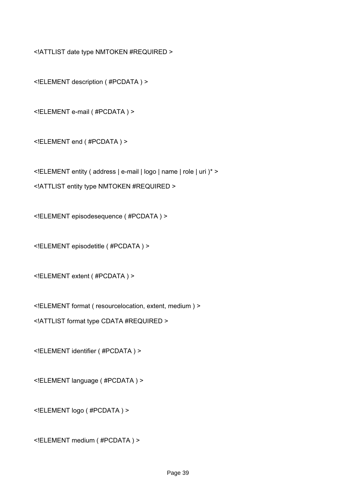<!ATTLIST date type NMTOKEN #REQUIRED >

<!ELEMENT description ( #PCDATA ) >

<!ELEMENT e-mail ( #PCDATA ) >

<!ELEMENT end ( #PCDATA ) >

<!ELEMENT entity ( address | e-mail | logo | name | role | uri )\* >

<!ATTLIST entity type NMTOKEN #REQUIRED >

<!ELEMENT episodesequence ( #PCDATA ) >

<!ELEMENT episodetitle ( #PCDATA ) >

<!ELEMENT extent ( #PCDATA ) >

<!ELEMENT format ( resourcelocation, extent, medium ) >

<!ATTLIST format type CDATA #REQUIRED >

<!ELEMENT identifier ( #PCDATA ) >

<!ELEMENT language ( #PCDATA ) >

<!ELEMENT logo ( #PCDATA ) >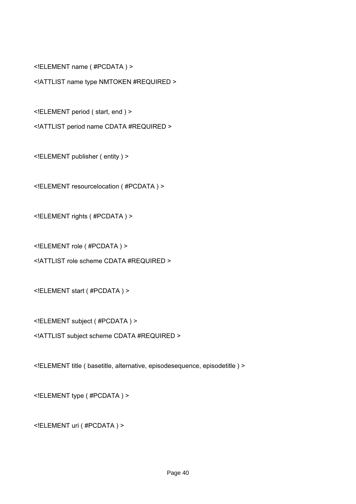<!ELEMENT name ( #PCDATA ) >

<!ATTLIST name type NMTOKEN #REQUIRED >

<!ELEMENT period ( start, end ) >

<!ATTLIST period name CDATA #REQUIRED >

<!ELEMENT publisher ( entity ) >

<!ELEMENT resourcelocation ( #PCDATA ) >

<!ELEMENT rights ( #PCDATA ) >

<!ELEMENT role ( #PCDATA ) >

<!ATTLIST role scheme CDATA #REQUIRED >

<!ELEMENT start ( #PCDATA ) >

<!ELEMENT subject ( #PCDATA ) >

<!ATTLIST subject scheme CDATA #REQUIRED >

<!ELEMENT title ( basetitle, alternative, episodesequence, episodetitle ) >

<!ELEMENT type ( #PCDATA ) >

<!ELEMENT uri ( #PCDATA ) >